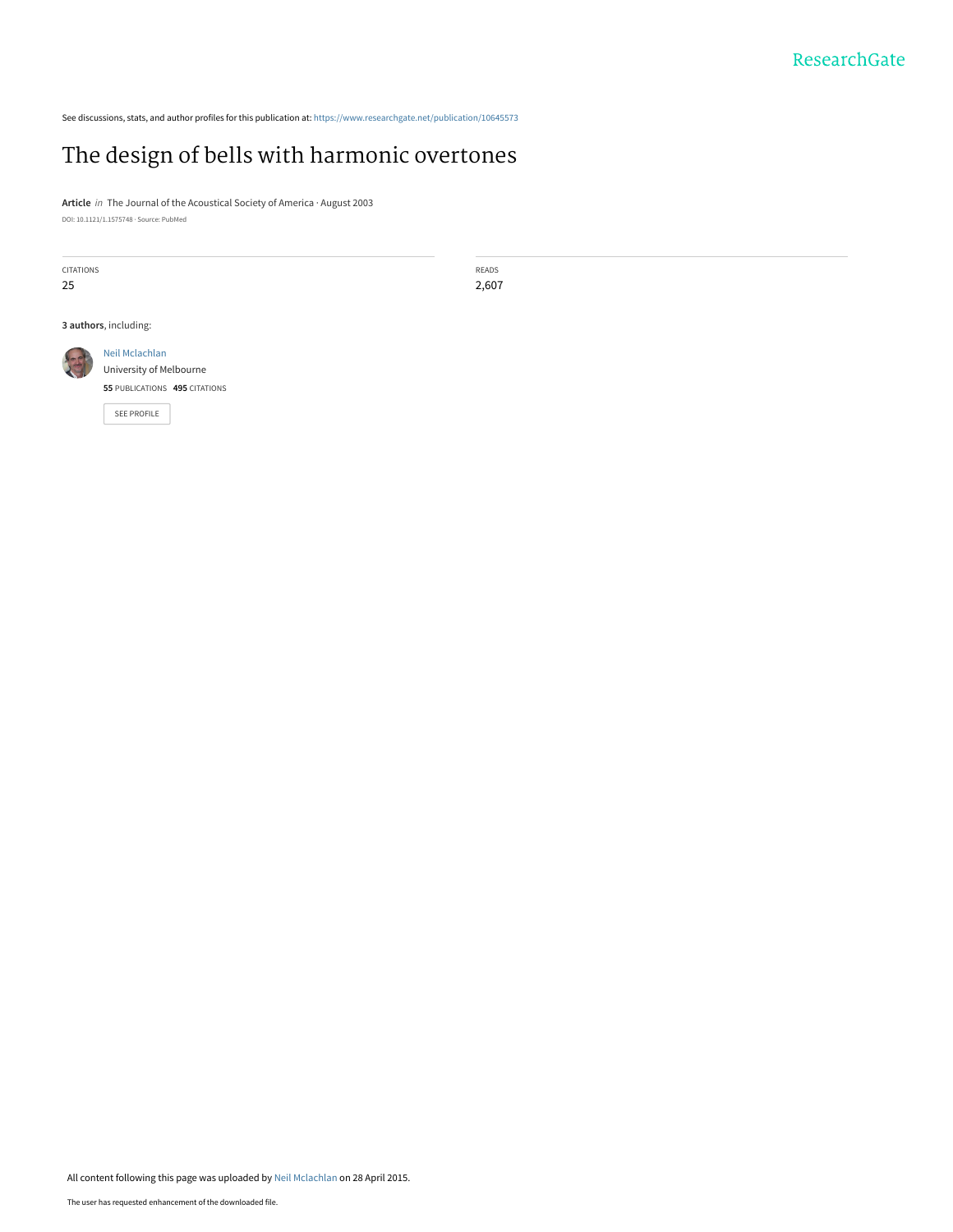See discussions, stats, and author profiles for this publication at: [https://www.researchgate.net/publication/10645573](https://www.researchgate.net/publication/10645573_The_design_of_bells_with_harmonic_overtones?enrichId=rgreq-76351ff49f661d7150b4dcef49584ed5-XXX&enrichSource=Y292ZXJQYWdlOzEwNjQ1NTczO0FTOjIyMzAzMDQ0Njk1NjU0NEAxNDMwMTg2MDEwMTQy&el=1_x_2&_esc=publicationCoverPdf)

# [The design of bells with harmonic overtones](https://www.researchgate.net/publication/10645573_The_design_of_bells_with_harmonic_overtones?enrichId=rgreq-76351ff49f661d7150b4dcef49584ed5-XXX&enrichSource=Y292ZXJQYWdlOzEwNjQ1NTczO0FTOjIyMzAzMDQ0Njk1NjU0NEAxNDMwMTg2MDEwMTQy&el=1_x_3&_esc=publicationCoverPdf)

**Article** in The Journal of the Acoustical Society of America · August 2003 DOI: 10.1121/1.1575748 · Source: PubMed

CITATIONS 25

READS 2,607

**3 authors**, including:



[University of Melbourne](https://www.researchgate.net/institution/University_of_Melbourne?enrichId=rgreq-76351ff49f661d7150b4dcef49584ed5-XXX&enrichSource=Y292ZXJQYWdlOzEwNjQ1NTczO0FTOjIyMzAzMDQ0Njk1NjU0NEAxNDMwMTg2MDEwMTQy&el=1_x_6&_esc=publicationCoverPdf) **55** PUBLICATIONS **495** CITATIONS

[SEE PROFILE](https://www.researchgate.net/profile/Neil_Mclachlan?enrichId=rgreq-76351ff49f661d7150b4dcef49584ed5-XXX&enrichSource=Y292ZXJQYWdlOzEwNjQ1NTczO0FTOjIyMzAzMDQ0Njk1NjU0NEAxNDMwMTg2MDEwMTQy&el=1_x_7&_esc=publicationCoverPdf)

[Neil Mclachlan](https://www.researchgate.net/profile/Neil_Mclachlan?enrichId=rgreq-76351ff49f661d7150b4dcef49584ed5-XXX&enrichSource=Y292ZXJQYWdlOzEwNjQ1NTczO0FTOjIyMzAzMDQ0Njk1NjU0NEAxNDMwMTg2MDEwMTQy&el=1_x_5&_esc=publicationCoverPdf)

All content following this page was uploaded by [Neil Mclachlan](https://www.researchgate.net/profile/Neil_Mclachlan?enrichId=rgreq-76351ff49f661d7150b4dcef49584ed5-XXX&enrichSource=Y292ZXJQYWdlOzEwNjQ1NTczO0FTOjIyMzAzMDQ0Njk1NjU0NEAxNDMwMTg2MDEwMTQy&el=1_x_10&_esc=publicationCoverPdf) on 28 April 2015.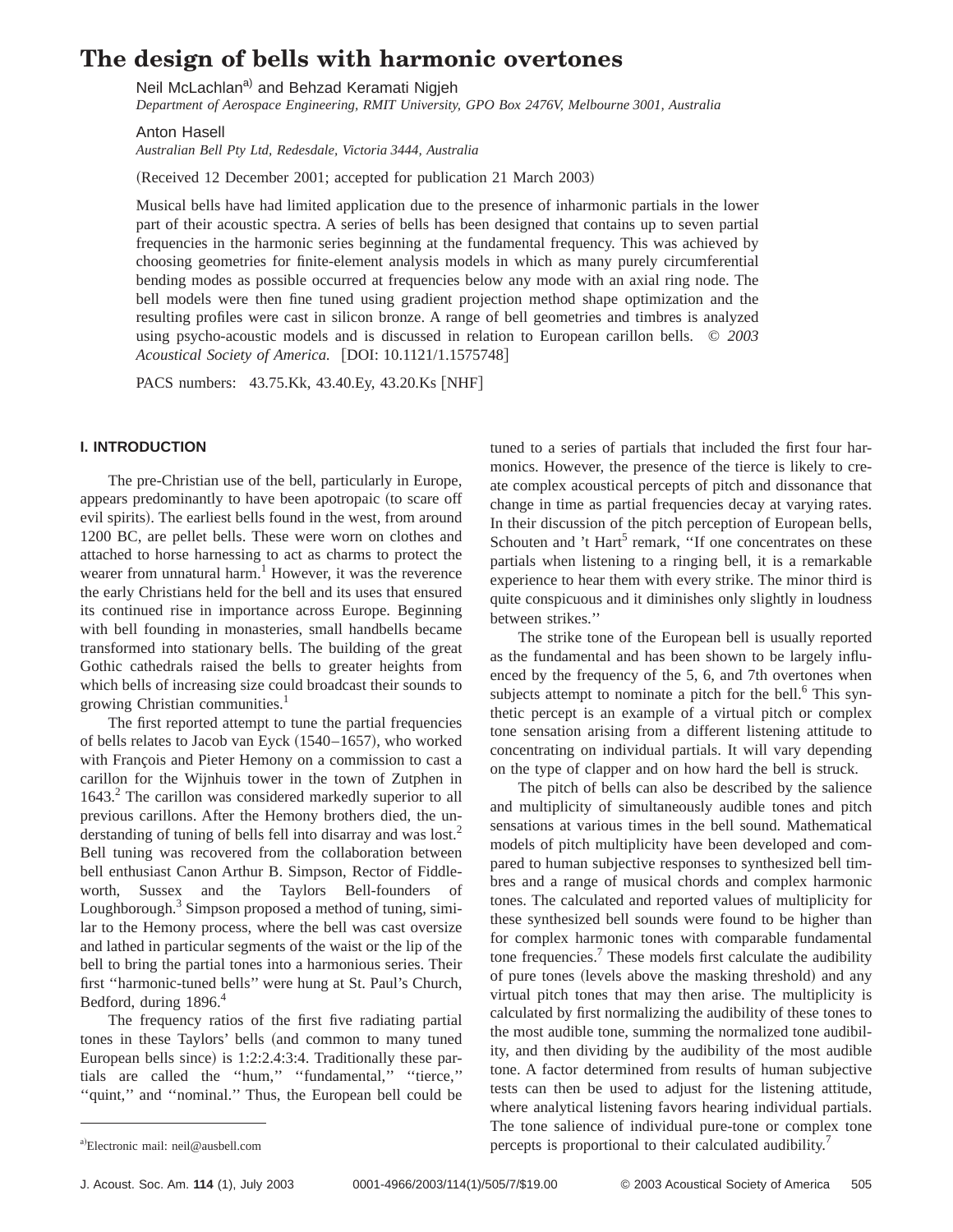# **The design of bells with harmonic overtones**

Neil McLachlan<sup>a)</sup> and Behzad Keramati Nigjeh

*Department of Aerospace Engineering, RMIT University, GPO Box 2476V, Melbourne 3001, Australia*

Anton Hasell

*Australian Bell Pty Ltd, Redesdale, Victoria 3444, Australia*

(Received 12 December 2001; accepted for publication 21 March 2003)

Musical bells have had limited application due to the presence of inharmonic partials in the lower part of their acoustic spectra. A series of bells has been designed that contains up to seven partial frequencies in the harmonic series beginning at the fundamental frequency. This was achieved by choosing geometries for finite-element analysis models in which as many purely circumferential bending modes as possible occurred at frequencies below any mode with an axial ring node. The bell models were then fine tuned using gradient projection method shape optimization and the resulting profiles were cast in silicon bronze. A range of bell geometries and timbres is analyzed using psycho-acoustic models and is discussed in relation to European carillon bells. © *2003 Acoustical Society of America.* [DOI: 10.1121/1.1575748]

PACS numbers: 43.75.Kk, 43.40.Ey, 43.20.Ks [NHF]

## **I. INTRODUCTION**

The pre-Christian use of the bell, particularly in Europe, appears predominantly to have been apotropaic (to scare off evil spirits). The earliest bells found in the west, from around 1200 BC, are pellet bells. These were worn on clothes and attached to horse harnessing to act as charms to protect the wearer from unnatural harm.<sup>1</sup> However, it was the reverence the early Christians held for the bell and its uses that ensured its continued rise in importance across Europe. Beginning with bell founding in monasteries, small handbells became transformed into stationary bells. The building of the great Gothic cathedrals raised the bells to greater heights from which bells of increasing size could broadcast their sounds to growing Christian communities.<sup>1</sup>

The first reported attempt to tune the partial frequencies of bells relates to Jacob van Eyck  $(1540-1657)$ , who worked with François and Pieter Hemony on a commission to cast a carillon for the Wijnhuis tower in the town of Zutphen in 1643.<sup>2</sup> The carillon was considered markedly superior to all previous carillons. After the Hemony brothers died, the understanding of tuning of bells fell into disarray and was lost.<sup>2</sup> Bell tuning was recovered from the collaboration between bell enthusiast Canon Arthur B. Simpson, Rector of Fiddleworth, Sussex and the Taylors Bell-founders of Loughborough. $3$  Simpson proposed a method of tuning, similar to the Hemony process, where the bell was cast oversize and lathed in particular segments of the waist or the lip of the bell to bring the partial tones into a harmonious series. Their first ''harmonic-tuned bells'' were hung at St. Paul's Church, Bedford, during 1896.<sup>4</sup>

The frequency ratios of the first five radiating partial tones in these Taylors' bells (and common to many tuned European bells since) is 1:2:2.4:3:4. Traditionally these partials are called the ''hum,'' ''fundamental,'' ''tierce,'' "quint," and "nominal." Thus, the European bell could be tuned to a series of partials that included the first four harmonics. However, the presence of the tierce is likely to create complex acoustical percepts of pitch and dissonance that change in time as partial frequencies decay at varying rates. In their discussion of the pitch perception of European bells, Schouten and 't Hart<sup>5</sup> remark, "If one concentrates on these partials when listening to a ringing bell, it is a remarkable experience to hear them with every strike. The minor third is quite conspicuous and it diminishes only slightly in loudness between strikes.''

The strike tone of the European bell is usually reported as the fundamental and has been shown to be largely influenced by the frequency of the 5, 6, and 7th overtones when subjects attempt to nominate a pitch for the bell. $<sup>6</sup>$  This syn-</sup> thetic percept is an example of a virtual pitch or complex tone sensation arising from a different listening attitude to concentrating on individual partials. It will vary depending on the type of clapper and on how hard the bell is struck.

The pitch of bells can also be described by the salience and multiplicity of simultaneously audible tones and pitch sensations at various times in the bell sound. Mathematical models of pitch multiplicity have been developed and compared to human subjective responses to synthesized bell timbres and a range of musical chords and complex harmonic tones. The calculated and reported values of multiplicity for these synthesized bell sounds were found to be higher than for complex harmonic tones with comparable fundamental tone frequencies.<sup>7</sup> These models first calculate the audibility of pure tones (levels above the masking threshold) and any virtual pitch tones that may then arise. The multiplicity is calculated by first normalizing the audibility of these tones to the most audible tone, summing the normalized tone audibility, and then dividing by the audibility of the most audible tone. A factor determined from results of human subjective tests can then be used to adjust for the listening attitude, where analytical listening favors hearing individual partials. The tone salience of individual pure-tone or complex tone a)Electronic mail: neil@ausbell.com **and the interval of the example of the example of the example of the example of the example of the example of the example of the example of the example of the example of the example of**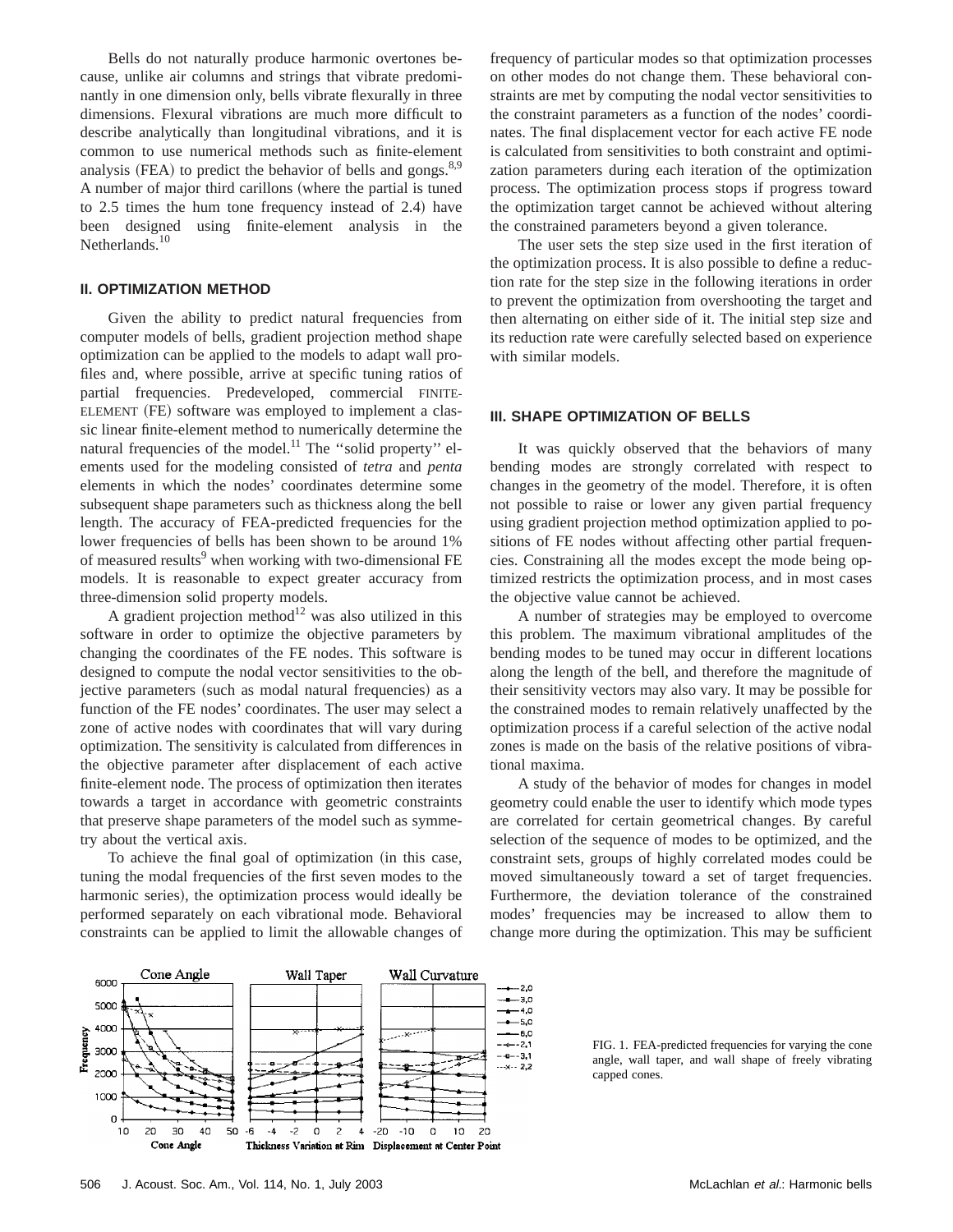Bells do not naturally produce harmonic overtones because, unlike air columns and strings that vibrate predominantly in one dimension only, bells vibrate flexurally in three dimensions. Flexural vibrations are much more difficult to describe analytically than longitudinal vibrations, and it is common to use numerical methods such as finite-element analysis (FEA) to predict the behavior of bells and gongs. $8,9$ A number of major third carillons (where the partial is tuned to  $2.5$  times the hum tone frequency instead of  $2.4$ ) have been designed using finite-element analysis in the Netherlands.<sup>10</sup>

#### **II. OPTIMIZATION METHOD**

Given the ability to predict natural frequencies from computer models of bells, gradient projection method shape optimization can be applied to the models to adapt wall profiles and, where possible, arrive at specific tuning ratios of partial frequencies. Predeveloped, commercial FINITE-ELEMENT (FE) software was employed to implement a classic linear finite-element method to numerically determine the natural frequencies of the model.<sup>11</sup> The "solid property" elements used for the modeling consisted of *tetra* and *penta* elements in which the nodes' coordinates determine some subsequent shape parameters such as thickness along the bell length. The accuracy of FEA-predicted frequencies for the lower frequencies of bells has been shown to be around 1% of measured results<sup>9</sup> when working with two-dimensional FE models. It is reasonable to expect greater accuracy from three-dimension solid property models.

A gradient projection method<sup>12</sup> was also utilized in this software in order to optimize the objective parameters by changing the coordinates of the FE nodes. This software is designed to compute the nodal vector sensitivities to the objective parameters (such as modal natural frequencies) as a function of the FE nodes' coordinates. The user may select a zone of active nodes with coordinates that will vary during optimization. The sensitivity is calculated from differences in the objective parameter after displacement of each active finite-element node. The process of optimization then iterates towards a target in accordance with geometric constraints that preserve shape parameters of the model such as symmetry about the vertical axis.

To achieve the final goal of optimization (in this case, tuning the modal frequencies of the first seven modes to the harmonic series), the optimization process would ideally be performed separately on each vibrational mode. Behavioral constraints can be applied to limit the allowable changes of frequency of particular modes so that optimization processes on other modes do not change them. These behavioral constraints are met by computing the nodal vector sensitivities to the constraint parameters as a function of the nodes' coordinates. The final displacement vector for each active FE node is calculated from sensitivities to both constraint and optimization parameters during each iteration of the optimization process. The optimization process stops if progress toward the optimization target cannot be achieved without altering the constrained parameters beyond a given tolerance.

The user sets the step size used in the first iteration of the optimization process. It is also possible to define a reduction rate for the step size in the following iterations in order to prevent the optimization from overshooting the target and then alternating on either side of it. The initial step size and its reduction rate were carefully selected based on experience with similar models.

#### **III. SHAPE OPTIMIZATION OF BELLS**

It was quickly observed that the behaviors of many bending modes are strongly correlated with respect to changes in the geometry of the model. Therefore, it is often not possible to raise or lower any given partial frequency using gradient projection method optimization applied to positions of FE nodes without affecting other partial frequencies. Constraining all the modes except the mode being optimized restricts the optimization process, and in most cases the objective value cannot be achieved.

A number of strategies may be employed to overcome this problem. The maximum vibrational amplitudes of the bending modes to be tuned may occur in different locations along the length of the bell, and therefore the magnitude of their sensitivity vectors may also vary. It may be possible for the constrained modes to remain relatively unaffected by the optimization process if a careful selection of the active nodal zones is made on the basis of the relative positions of vibrational maxima.

A study of the behavior of modes for changes in model geometry could enable the user to identify which mode types are correlated for certain geometrical changes. By careful selection of the sequence of modes to be optimized, and the constraint sets, groups of highly correlated modes could be moved simultaneously toward a set of target frequencies. Furthermore, the deviation tolerance of the constrained modes' frequencies may be increased to allow them to change more during the optimization. This may be sufficient



FIG. 1. FEA-predicted frequencies for varying the cone angle, wall taper, and wall shape of freely vibrating capped cones.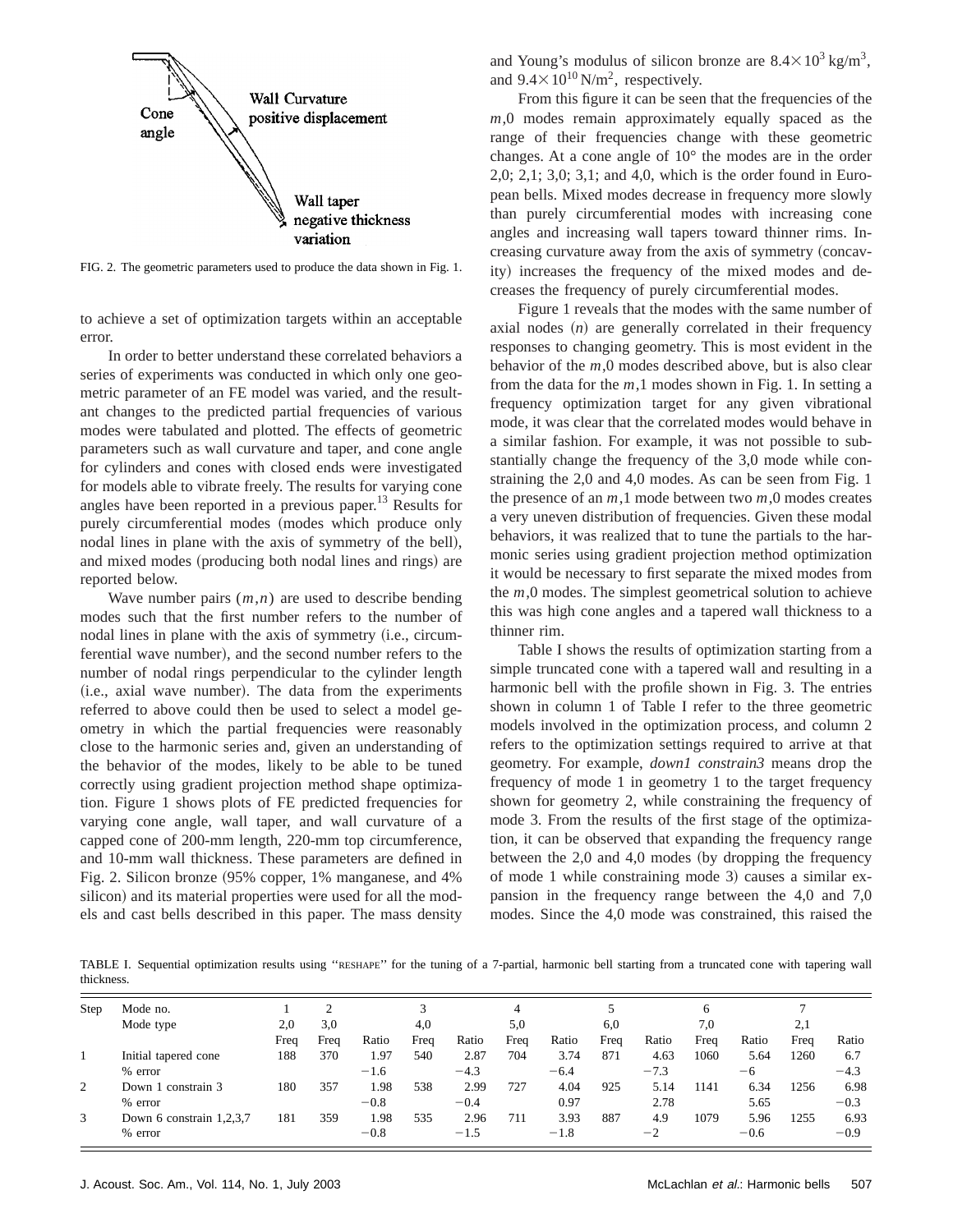

FIG. 2. The geometric parameters used to produce the data shown in Fig. 1.

to achieve a set of optimization targets within an acceptable error.

In order to better understand these correlated behaviors a series of experiments was conducted in which only one geometric parameter of an FE model was varied, and the resultant changes to the predicted partial frequencies of various modes were tabulated and plotted. The effects of geometric parameters such as wall curvature and taper, and cone angle for cylinders and cones with closed ends were investigated for models able to vibrate freely. The results for varying cone angles have been reported in a previous paper.<sup>13</sup> Results for purely circumferential modes (modes which produce only nodal lines in plane with the axis of symmetry of the bell), and mixed modes (producing both nodal lines and rings) are reported below.

Wave number pairs (*m*,*n*) are used to describe bending modes such that the first number refers to the number of nodal lines in plane with the axis of symmetry (i.e., circumferential wave number), and the second number refers to the number of nodal rings perpendicular to the cylinder length (i.e., axial wave number). The data from the experiments referred to above could then be used to select a model geometry in which the partial frequencies were reasonably close to the harmonic series and, given an understanding of the behavior of the modes, likely to be able to be tuned correctly using gradient projection method shape optimization. Figure 1 shows plots of FE predicted frequencies for varying cone angle, wall taper, and wall curvature of a capped cone of 200-mm length, 220-mm top circumference, and 10-mm wall thickness. These parameters are defined in Fig. 2. Silicon bronze  $(95\%$  copper, 1% manganese, and 4% silicon) and its material properties were used for all the models and cast bells described in this paper. The mass density and Young's modulus of silicon bronze are  $8.4 \times 10^3$  kg/m<sup>3</sup>, and  $9.4\times10^{10}$  N/m<sup>2</sup>, respectively.

From this figure it can be seen that the frequencies of the *m*,0 modes remain approximately equally spaced as the range of their frequencies change with these geometric changes. At a cone angle of 10° the modes are in the order 2,0; 2,1; 3,0; 3,1; and 4,0, which is the order found in European bells. Mixed modes decrease in frequency more slowly than purely circumferential modes with increasing cone angles and increasing wall tapers toward thinner rims. Increasing curvature away from the axis of symmetry (concavity) increases the frequency of the mixed modes and decreases the frequency of purely circumferential modes.

Figure 1 reveals that the modes with the same number of axial nodes  $(n)$  are generally correlated in their frequency responses to changing geometry. This is most evident in the behavior of the *m*,0 modes described above, but is also clear from the data for the *m*,1 modes shown in Fig. 1. In setting a frequency optimization target for any given vibrational mode, it was clear that the correlated modes would behave in a similar fashion. For example, it was not possible to substantially change the frequency of the 3,0 mode while constraining the 2,0 and 4,0 modes. As can be seen from Fig. 1 the presence of an *m*,1 mode between two *m*,0 modes creates a very uneven distribution of frequencies. Given these modal behaviors, it was realized that to tune the partials to the harmonic series using gradient projection method optimization it would be necessary to first separate the mixed modes from the *m*,0 modes. The simplest geometrical solution to achieve this was high cone angles and a tapered wall thickness to a thinner rim.

Table I shows the results of optimization starting from a simple truncated cone with a tapered wall and resulting in a harmonic bell with the profile shown in Fig. 3. The entries shown in column 1 of Table I refer to the three geometric models involved in the optimization process, and column 2 refers to the optimization settings required to arrive at that geometry. For example, *down1 constrain3* means drop the frequency of mode 1 in geometry 1 to the target frequency shown for geometry 2, while constraining the frequency of mode 3. From the results of the first stage of the optimization, it can be observed that expanding the frequency range between the  $2,0$  and  $4,0$  modes (by dropping the frequency of mode 1 while constraining mode 3) causes a similar expansion in the frequency range between the 4,0 and 7,0 modes. Since the 4,0 mode was constrained, this raised the

TABLE I. Sequential optimization results using ''RESHAPE'' for the tuning of a 7-partial, harmonic bell starting from a truncated cone with tapering wall thickness.

| Step | Mode no.                   |      |      |        | 3    |        | 4    |        |      |        | 6    |        |      |        |
|------|----------------------------|------|------|--------|------|--------|------|--------|------|--------|------|--------|------|--------|
|      | Mode type                  | 2,0  | 3,0  |        | 4,0  |        | 5,0  |        | 6,0  |        | 7.0  |        | 2,1  |        |
|      |                            | Freq | Freq | Ratio  | Freq | Ratio  | Freq | Ratio  | Freq | Ratio  | Freq | Ratio  | Freq | Ratio  |
|      | Initial tapered cone       | 188  | 370  | 1.97   | 540  | 2.87   | 704  | 3.74   | 871  | 4.63   | 1060 | 5.64   | 1260 | 6.7    |
|      | $%$ error                  |      |      | $-1.6$ |      | $-4.3$ |      | $-6.4$ |      | $-7.3$ |      | -6     |      | $-4.3$ |
| 2    | Down 1 constrain 3         | 180  | 357  | 1.98   | 538  | 2.99   | 727  | 4.04   | 925  | 5.14   | 1141 | 6.34   | 1256 | 6.98   |
|      | $%$ error                  |      |      | $-0.8$ |      | $-0.4$ |      | 0.97   |      | 2.78   |      | 5.65   |      | $-0.3$ |
| 3    | Down 6 constrain $1,2,3,7$ | 181  | 359  | 1.98   | 535  | 2.96   | 711  | 3.93   | 887  | 4.9    | 1079 | 5.96   | 1255 | 6.93   |
|      | $%$ error                  |      |      | $-0.8$ |      | $-1.5$ |      | $-1.8$ |      | $-2$   |      | $-0.6$ |      | $-0.9$ |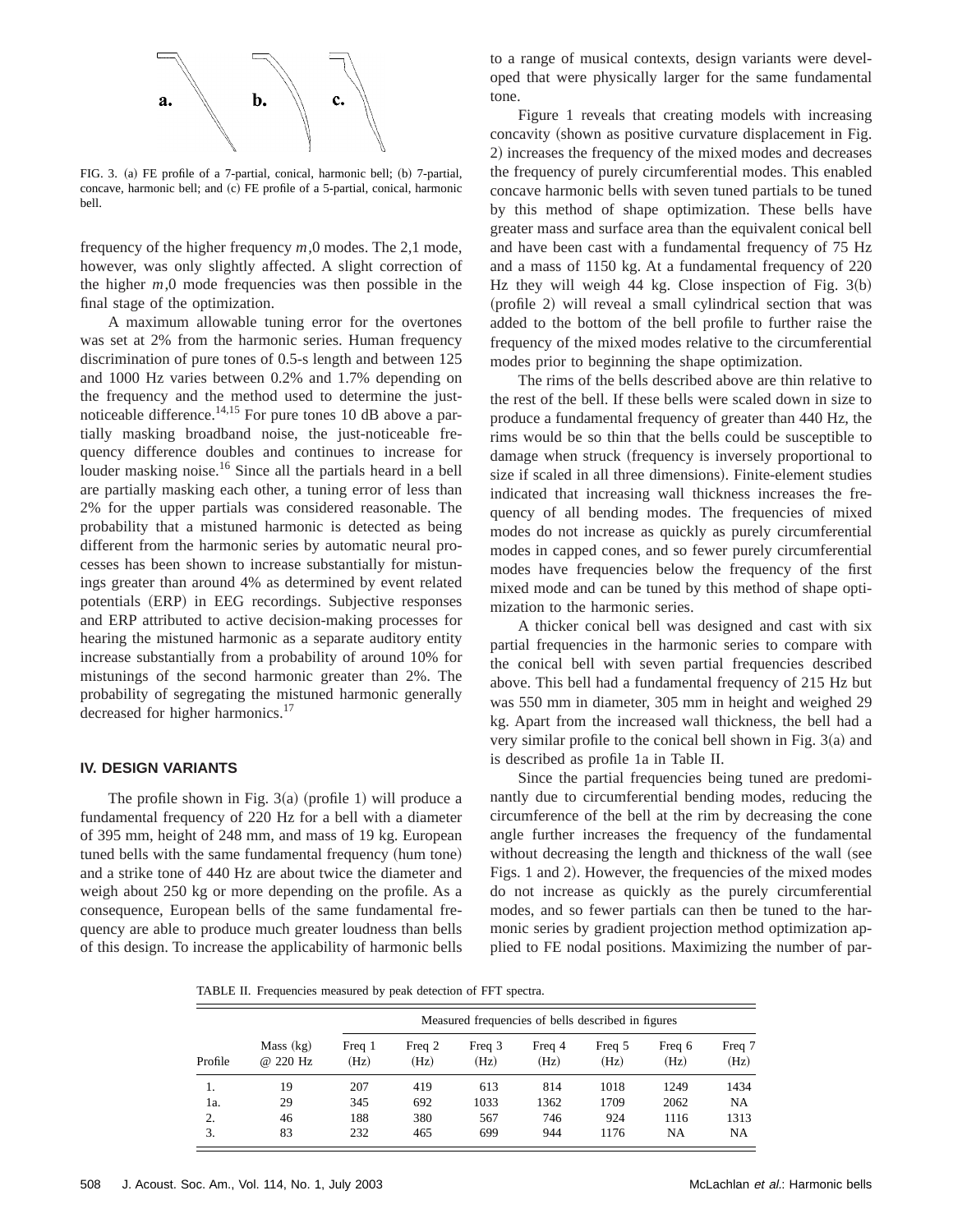

FIG. 3. (a) FE profile of a 7-partial, conical, harmonic bell; (b) 7-partial, concave, harmonic bell; and (c) FE profile of a 5-partial, conical, harmonic bell.

frequency of the higher frequency *m*,0 modes. The 2,1 mode, however, was only slightly affected. A slight correction of the higher *m*,0 mode frequencies was then possible in the final stage of the optimization.

A maximum allowable tuning error for the overtones was set at 2% from the harmonic series. Human frequency discrimination of pure tones of 0.5-s length and between 125 and 1000 Hz varies between 0.2% and 1.7% depending on the frequency and the method used to determine the justnoticeable difference.<sup>14,15</sup> For pure tones 10 dB above a partially masking broadband noise, the just-noticeable frequency difference doubles and continues to increase for louder masking noise.<sup>16</sup> Since all the partials heard in a bell are partially masking each other, a tuning error of less than 2% for the upper partials was considered reasonable. The probability that a mistuned harmonic is detected as being different from the harmonic series by automatic neural processes has been shown to increase substantially for mistunings greater than around 4% as determined by event related potentials (ERP) in EEG recordings. Subjective responses and ERP attributed to active decision-making processes for hearing the mistuned harmonic as a separate auditory entity increase substantially from a probability of around 10% for mistunings of the second harmonic greater than 2%. The probability of segregating the mistuned harmonic generally decreased for higher harmonics.<sup>17</sup>

#### **IV. DESIGN VARIANTS**

The profile shown in Fig.  $3(a)$  (profile 1) will produce a fundamental frequency of 220 Hz for a bell with a diameter of 395 mm, height of 248 mm, and mass of 19 kg. European tuned bells with the same fundamental frequency (hum tone) and a strike tone of 440 Hz are about twice the diameter and weigh about 250 kg or more depending on the profile. As a consequence, European bells of the same fundamental frequency are able to produce much greater loudness than bells of this design. To increase the applicability of harmonic bells to a range of musical contexts, design variants were developed that were physically larger for the same fundamental tone.

Figure 1 reveals that creating models with increasing concavity (shown as positive curvature displacement in Fig. 2) increases the frequency of the mixed modes and decreases the frequency of purely circumferential modes. This enabled concave harmonic bells with seven tuned partials to be tuned by this method of shape optimization. These bells have greater mass and surface area than the equivalent conical bell and have been cast with a fundamental frequency of 75 Hz and a mass of 1150 kg. At a fundamental frequency of 220 Hz they will weigh 44 kg. Close inspection of Fig.  $3(b)$  $(profile 2)$  will reveal a small cylindrical section that was added to the bottom of the bell profile to further raise the frequency of the mixed modes relative to the circumferential modes prior to beginning the shape optimization.

The rims of the bells described above are thin relative to the rest of the bell. If these bells were scaled down in size to produce a fundamental frequency of greater than 440 Hz, the rims would be so thin that the bells could be susceptible to damage when struck (frequency is inversely proportional to size if scaled in all three dimensions). Finite-element studies indicated that increasing wall thickness increases the frequency of all bending modes. The frequencies of mixed modes do not increase as quickly as purely circumferential modes in capped cones, and so fewer purely circumferential modes have frequencies below the frequency of the first mixed mode and can be tuned by this method of shape optimization to the harmonic series.

A thicker conical bell was designed and cast with six partial frequencies in the harmonic series to compare with the conical bell with seven partial frequencies described above. This bell had a fundamental frequency of 215 Hz but was 550 mm in diameter, 305 mm in height and weighed 29 kg. Apart from the increased wall thickness, the bell had a very similar profile to the conical bell shown in Fig.  $3(a)$  and is described as profile 1a in Table II.

Since the partial frequencies being tuned are predominantly due to circumferential bending modes, reducing the circumference of the bell at the rim by decreasing the cone angle further increases the frequency of the fundamental without decreasing the length and thickness of the wall (see Figs. 1 and 2). However, the frequencies of the mixed modes do not increase as quickly as the purely circumferential modes, and so fewer partials can then be tuned to the harmonic series by gradient projection method optimization applied to FE nodal positions. Maximizing the number of par-

TABLE II. Frequencies measured by peak detection of FFT spectra.

|         | Mass $(kg)$<br>@ 220 Hz | Measured frequencies of bells described in figures |                |                |                |                |                |                |  |  |  |
|---------|-------------------------|----------------------------------------------------|----------------|----------------|----------------|----------------|----------------|----------------|--|--|--|
| Profile |                         | Freq 1<br>(Hz)                                     | Freq 2<br>(Hz) | Freq 3<br>(Hz) | Freq 4<br>(Hz) | Freq 5<br>(Hz) | Freq 6<br>(Hz) | Freq 7<br>(Hz) |  |  |  |
| 1.      | 19                      | 207                                                | 419            | 613            | 814            | 1018           | 1249           | 1434           |  |  |  |
| 1a.     | 29                      | 345                                                | 692            | 1033           | 1362           | 1709           | 2062           | NA             |  |  |  |
| 2.      | 46                      | 188                                                | 380            | 567            | 746            | 924            | 1116           | 1313           |  |  |  |
| 3.      | 83                      | 232                                                | 465            | 699            | 944            | 1176           | <b>NA</b>      | <b>NA</b>      |  |  |  |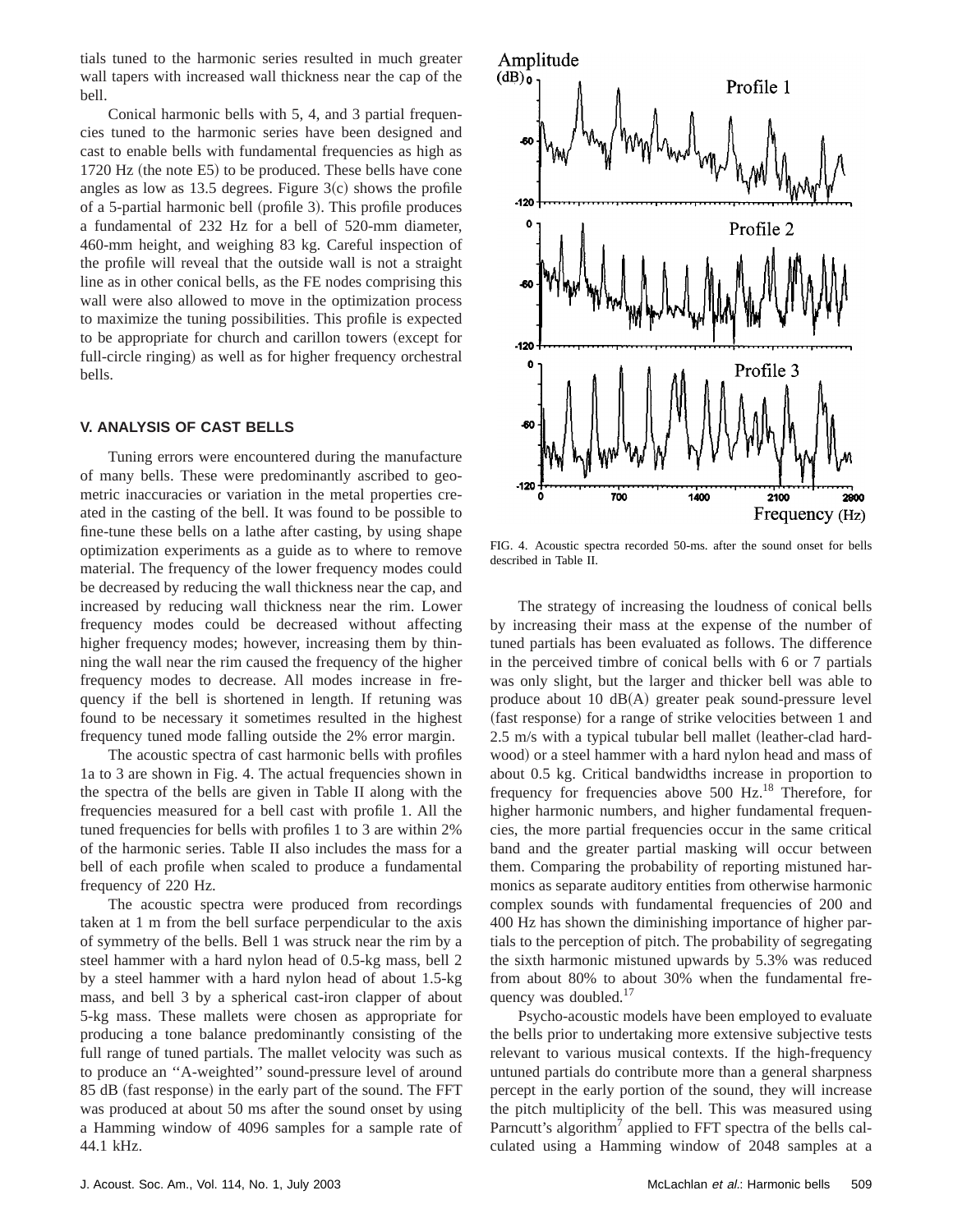tials tuned to the harmonic series resulted in much greater wall tapers with increased wall thickness near the cap of the bell.

Conical harmonic bells with 5, 4, and 3 partial frequencies tuned to the harmonic series have been designed and cast to enable bells with fundamental frequencies as high as  $1720$  Hz (the note E5) to be produced. These bells have cone angles as low as 13.5 degrees. Figure  $3(c)$  shows the profile of a 5-partial harmonic bell (profile 3). This profile produces a fundamental of 232 Hz for a bell of 520-mm diameter, 460-mm height, and weighing 83 kg. Careful inspection of the profile will reveal that the outside wall is not a straight line as in other conical bells, as the FE nodes comprising this wall were also allowed to move in the optimization process to maximize the tuning possibilities. This profile is expected to be appropriate for church and carillon towers (except for full-circle ringing) as well as for higher frequency orchestral bells.

# **V. ANALYSIS OF CAST BELLS**

Tuning errors were encountered during the manufacture of many bells. These were predominantly ascribed to geometric inaccuracies or variation in the metal properties created in the casting of the bell. It was found to be possible to fine-tune these bells on a lathe after casting, by using shape optimization experiments as a guide as to where to remove material. The frequency of the lower frequency modes could be decreased by reducing the wall thickness near the cap, and increased by reducing wall thickness near the rim. Lower frequency modes could be decreased without affecting higher frequency modes; however, increasing them by thinning the wall near the rim caused the frequency of the higher frequency modes to decrease. All modes increase in frequency if the bell is shortened in length. If retuning was found to be necessary it sometimes resulted in the highest frequency tuned mode falling outside the 2% error margin.

The acoustic spectra of cast harmonic bells with profiles 1a to 3 are shown in Fig. 4. The actual frequencies shown in the spectra of the bells are given in Table II along with the frequencies measured for a bell cast with profile 1. All the tuned frequencies for bells with profiles 1 to 3 are within 2% of the harmonic series. Table II also includes the mass for a bell of each profile when scaled to produce a fundamental frequency of 220 Hz.

The acoustic spectra were produced from recordings taken at 1 m from the bell surface perpendicular to the axis of symmetry of the bells. Bell 1 was struck near the rim by a steel hammer with a hard nylon head of 0.5-kg mass, bell 2 by a steel hammer with a hard nylon head of about 1.5-kg mass, and bell 3 by a spherical cast-iron clapper of about 5-kg mass. These mallets were chosen as appropriate for producing a tone balance predominantly consisting of the full range of tuned partials. The mallet velocity was such as to produce an ''A-weighted'' sound-pressure level of around 85 dB (fast response) in the early part of the sound. The FFT was produced at about 50 ms after the sound onset by using a Hamming window of 4096 samples for a sample rate of 44.1 kHz.



FIG. 4. Acoustic spectra recorded 50-ms. after the sound onset for bells described in Table II.

The strategy of increasing the loudness of conical bells by increasing their mass at the expense of the number of tuned partials has been evaluated as follows. The difference in the perceived timbre of conical bells with 6 or 7 partials was only slight, but the larger and thicker bell was able to produce about 10  $dB(A)$  greater peak sound-pressure level (fast response) for a range of strike velocities between 1 and  $2.5$  m/s with a typical tubular bell mallet (leather-clad hardwood) or a steel hammer with a hard nylon head and mass of about 0.5 kg. Critical bandwidths increase in proportion to frequency for frequencies above  $500$  Hz.<sup>18</sup> Therefore, for higher harmonic numbers, and higher fundamental frequencies, the more partial frequencies occur in the same critical band and the greater partial masking will occur between them. Comparing the probability of reporting mistuned harmonics as separate auditory entities from otherwise harmonic complex sounds with fundamental frequencies of 200 and 400 Hz has shown the diminishing importance of higher partials to the perception of pitch. The probability of segregating the sixth harmonic mistuned upwards by 5.3% was reduced from about 80% to about 30% when the fundamental frequency was doubled. $17$ 

Psycho-acoustic models have been employed to evaluate the bells prior to undertaking more extensive subjective tests relevant to various musical contexts. If the high-frequency untuned partials do contribute more than a general sharpness percept in the early portion of the sound, they will increase the pitch multiplicity of the bell. This was measured using Parncutt's algorithm<sup>7</sup> applied to FFT spectra of the bells calculated using a Hamming window of 2048 samples at a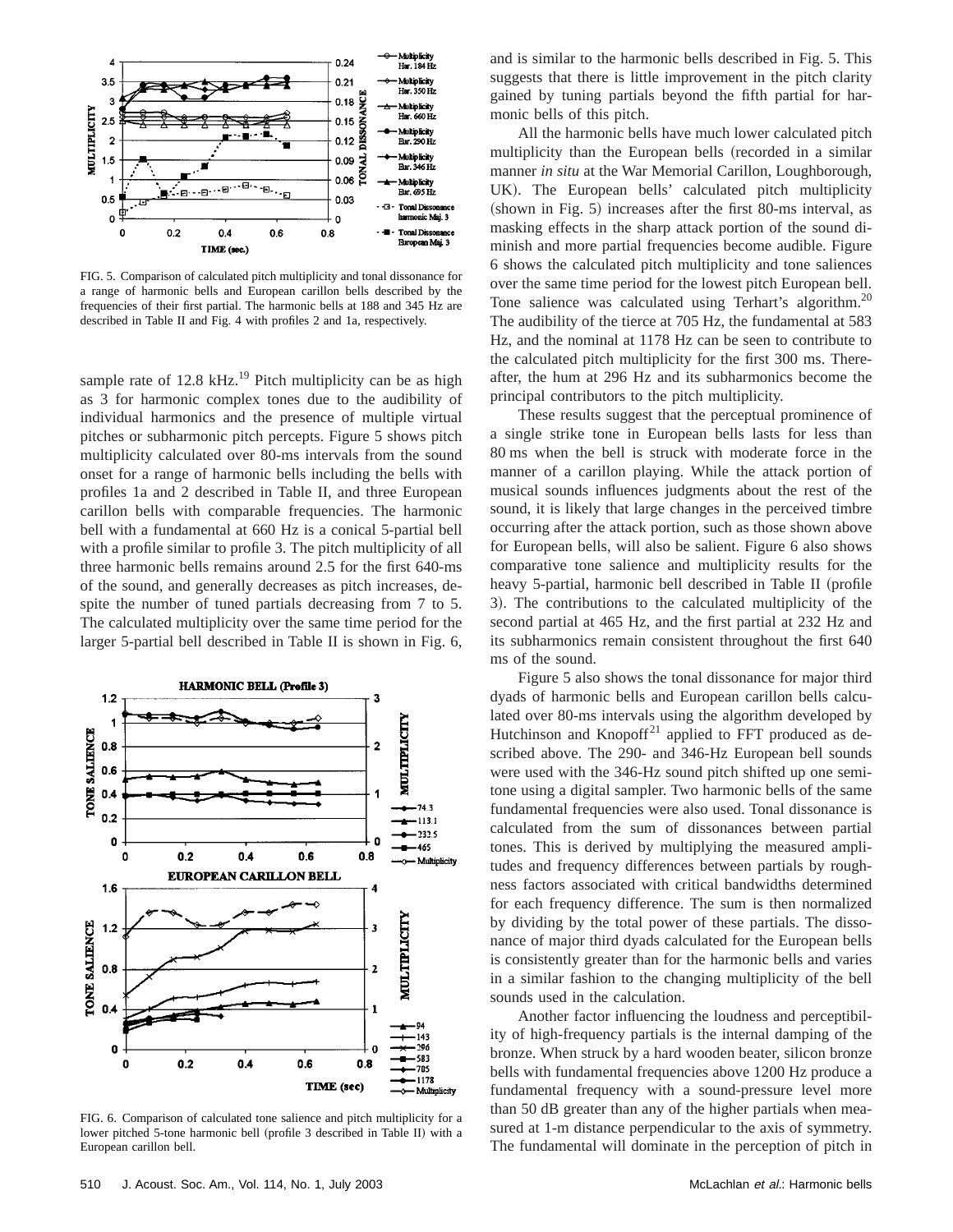

FIG. 5. Comparison of calculated pitch multiplicity and tonal dissonance for a range of harmonic bells and European carillon bells described by the frequencies of their first partial. The harmonic bells at 188 and 345 Hz are described in Table II and Fig. 4 with profiles 2 and 1a, respectively.

sample rate of  $12.8$  kHz.<sup>19</sup> Pitch multiplicity can be as high as 3 for harmonic complex tones due to the audibility of individual harmonics and the presence of multiple virtual pitches or subharmonic pitch percepts. Figure 5 shows pitch multiplicity calculated over 80-ms intervals from the sound onset for a range of harmonic bells including the bells with profiles 1a and 2 described in Table II, and three European carillon bells with comparable frequencies. The harmonic bell with a fundamental at 660 Hz is a conical 5-partial bell with a profile similar to profile 3. The pitch multiplicity of all three harmonic bells remains around 2.5 for the first 640-ms of the sound, and generally decreases as pitch increases, despite the number of tuned partials decreasing from 7 to 5. The calculated multiplicity over the same time period for the larger 5-partial bell described in Table II is shown in Fig. 6,



FIG. 6. Comparison of calculated tone salience and pitch multiplicity for a lower pitched 5-tone harmonic bell (profile 3 described in Table II) with a European carillon bell.

and is similar to the harmonic bells described in Fig. 5. This suggests that there is little improvement in the pitch clarity gained by tuning partials beyond the fifth partial for harmonic bells of this pitch.

All the harmonic bells have much lower calculated pitch multiplicity than the European bells (recorded in a similar manner *in situ* at the War Memorial Carillon, Loughborough, UK). The European bells' calculated pitch multiplicity  $\frac{1}{2}$  (shown in Fig. 5) increases after the first 80-ms interval, as masking effects in the sharp attack portion of the sound diminish and more partial frequencies become audible. Figure 6 shows the calculated pitch multiplicity and tone saliences over the same time period for the lowest pitch European bell. Tone salience was calculated using Terhart's algorithm.<sup>20</sup> The audibility of the tierce at 705 Hz, the fundamental at 583 Hz, and the nominal at 1178 Hz can be seen to contribute to the calculated pitch multiplicity for the first 300 ms. Thereafter, the hum at 296 Hz and its subharmonics become the principal contributors to the pitch multiplicity.

These results suggest that the perceptual prominence of a single strike tone in European bells lasts for less than 80 ms when the bell is struck with moderate force in the manner of a carillon playing. While the attack portion of musical sounds influences judgments about the rest of the sound, it is likely that large changes in the perceived timbre occurring after the attack portion, such as those shown above for European bells, will also be salient. Figure 6 also shows comparative tone salience and multiplicity results for the heavy 5-partial, harmonic bell described in Table II (profile 3). The contributions to the calculated multiplicity of the second partial at 465 Hz, and the first partial at 232 Hz and its subharmonics remain consistent throughout the first 640 ms of the sound.

Figure 5 also shows the tonal dissonance for major third dyads of harmonic bells and European carillon bells calculated over 80-ms intervals using the algorithm developed by Hutchinson and Knopoff<sup>21</sup> applied to FFT produced as described above. The 290- and 346-Hz European bell sounds were used with the 346-Hz sound pitch shifted up one semitone using a digital sampler. Two harmonic bells of the same fundamental frequencies were also used. Tonal dissonance is calculated from the sum of dissonances between partial tones. This is derived by multiplying the measured amplitudes and frequency differences between partials by roughness factors associated with critical bandwidths determined for each frequency difference. The sum is then normalized by dividing by the total power of these partials. The dissonance of major third dyads calculated for the European bells is consistently greater than for the harmonic bells and varies in a similar fashion to the changing multiplicity of the bell sounds used in the calculation.

Another factor influencing the loudness and perceptibility of high-frequency partials is the internal damping of the bronze. When struck by a hard wooden beater, silicon bronze bells with fundamental frequencies above 1200 Hz produce a fundamental frequency with a sound-pressure level more than 50 dB greater than any of the higher partials when measured at 1-m distance perpendicular to the axis of symmetry. The fundamental will dominate in the perception of pitch in